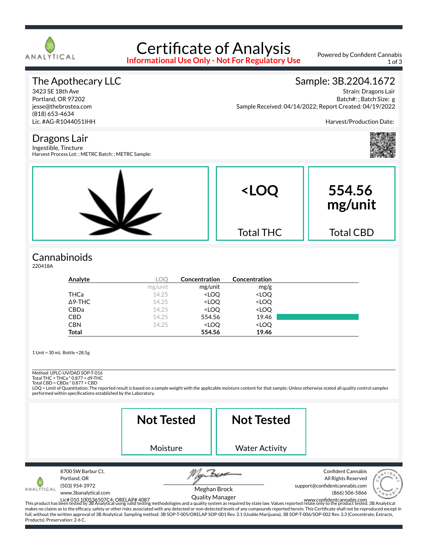

# Certificate of Analysis

**Informational Use Only - Not For Regulatory Use**

Powered by Confident Cannabis 1 of 3

# The Apothecary LLC

3423 SE 18th Ave Portland, OR 97202 jesse@thebrostea.com (818) 653-4634 Lic. #AG-R1044051IHH

## Sample: 3B.2204.1672

Strain: Dragons Lair Batch#: ; Batch Size: g Sample Received: 04/14/2022; Report Created: 04/19/2022

Harvest/Production Date:

Dragons Lair Ingestible, Tincture

Harvest Process Lot: ; METRC Batch: ; METRC Sample:



# **Cannabinoids**

220418A

| Analyte        | LOC     | Concentration                                            | Concentration                |  |
|----------------|---------|----------------------------------------------------------|------------------------------|--|
|                | mg/unit | mg/unit                                                  | mg/g                         |  |
| <b>THCa</b>    | 14.25   | <loq< th=""><th><loq< th=""><th></th></loq<></th></loq<> | <loq< th=""><th></th></loq<> |  |
| $\Delta$ 9-THC | 14.25   | <loq< th=""><th><loq< th=""><th></th></loq<></th></loq<> | <loq< th=""><th></th></loq<> |  |
| <b>CBDa</b>    | 14.25   | <loq< th=""><th><loq< th=""><th></th></loq<></th></loq<> | <loq< th=""><th></th></loq<> |  |
| <b>CBD</b>     | 14.25   | 554.56                                                   | 19.46                        |  |
| <b>CBN</b>     | 14.25   | <loq< th=""><th><loq< th=""><th></th></loq<></th></loq<> | <loq< th=""><th></th></loq<> |  |
| <b>Total</b>   |         | 554.56                                                   | 19.46                        |  |

1 Unit = 30 mL Bottle =28.5g

Method: UPLC-UV/DAD SOP-T-016

Total THC = THCa \* 0.877 + d9-THC Total CBD = CBDa \* 0.877 + CBD

LOQ = Limit of Quantitation; The reported result is based on a sample weight with the applicable moisture content for that sample; Unless otherwise stated all quality control samples performed within specifications established by the Laboratory.

|                                                 |                                                              | <b>Not Tested</b> | <b>Not Tested</b>                      |                                                                                                                                                                                                                                                                                                                                                                                                                                                                                                                                                                                                                                                                                                                                        |
|-------------------------------------------------|--------------------------------------------------------------|-------------------|----------------------------------------|----------------------------------------------------------------------------------------------------------------------------------------------------------------------------------------------------------------------------------------------------------------------------------------------------------------------------------------------------------------------------------------------------------------------------------------------------------------------------------------------------------------------------------------------------------------------------------------------------------------------------------------------------------------------------------------------------------------------------------------|
|                                                 |                                                              | Moisture          | <b>Water Activity</b>                  |                                                                                                                                                                                                                                                                                                                                                                                                                                                                                                                                                                                                                                                                                                                                        |
| Portland, OR<br>Products). Preservation: 2-6 C. | 8700 SW Barbur Ct.<br>(503) 954-3972<br>www.3banalytical.com |                   | Meghan Brock<br><b>Quality Manager</b> | <b>Confident Cannabis</b><br>All Rights Reserved<br>support@confidentcannabis.com<br>(866) 506-5866<br>Lic# 010 100536507C4; ORELAP# 4087<br>This product has been tested by 3B Analytical using valid testing methodologies and a quality system as required by state law. Values reported relate only to the product tested. 3B Analyt<br>makes no claims as to the efficacy, safety or other risks associated with any detected or non-detected levels of any compounds reported herein. This Certificate shall not be reproduced except in<br>full, without the written approval of 3B Analytical. Sampling method: 3B SOP-T-005/ORELAP SOP-001 Rev. 3.1 (Usable Marijuana), 3B SOP-T-006/SOP-002 Rev. 3.3 (Concentrate, Extracts, |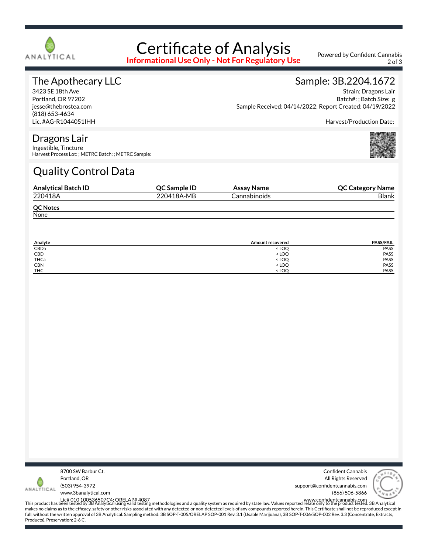

# Certificate of Analysis

**Informational Use Only - Not For Regulatory Use**

Powered by Confident Cannabis 2 of 3

## The Apothecary LLC

3423 SE 18th Ave Portland, OR 97202 jesse@thebrostea.com (818) 653-4634 Lic. #AG-R1044051IHH

### Sample: 3B.2204.1672

Strain: Dragons Lair Batch#: ; Batch Size: g Sample Received: 04/14/2022; Report Created: 04/19/2022

Harvest/Production Date:

#### Dragons Lair

Ingestible, Tincture Harvest Process Lot: ; METRC Batch: ; METRC Sample:

# Quality Control Data

| <b>Analytical Batch ID</b> | <b>OC Sample ID</b> | Assay Name          | <b>QC Category Name</b> |
|----------------------------|---------------------|---------------------|-------------------------|
| 220418A                    | 220418A-MB          | <b>Cannabinoids</b> | <b>Blank</b>            |
| <b>QC Notes</b>            |                     |                     |                         |
| None                       |                     |                     |                         |

| Analyte    | <b>Amount recovered</b>                 | <b>PASS/FAIL</b> |
|------------|-----------------------------------------|------------------|
| CBDa       | <loq< td=""><td><b>PASS</b></td></loq<> | <b>PASS</b>      |
| CBD        | <loq< td=""><td>PASS</td></loq<>        | PASS             |
| THCa       | <loq< td=""><td>PASS</td></loq<>        | PASS             |
| <b>CBN</b> | <loq< td=""><td>PASS</td></loq<>        | PASS             |
| <b>THC</b> | <loo< td=""><td>PASS</td></loo<>        | PASS             |



Confident Cannabis All Rights Reserved support@confidentcannabis.com (866) 506-5866



www.3banalytical.com

Lic# 010 100536507C4; ORELAP# 4087<br>This product has been tested by 3B Analytical using valid testing methodologies and a quality system as required by state law. Values reported relate only to the product tested. 3B Analyt makes no claims as to the efficacy, safety or other risks associated with any detected or non-detected levels of any compounds reported herein. This Certificate shall not be reproduced except in full, without the written approval of 3B Analytical. Sampling method: 3B SOP-T-005/ORELAP SOP-001 Rev. 3.1 (Usable Marijuana), 3B SOP-T-006/SOP-002 Rev. 3.3 (Concentrate, Extracts, Products). Preservation: 2-6 C.